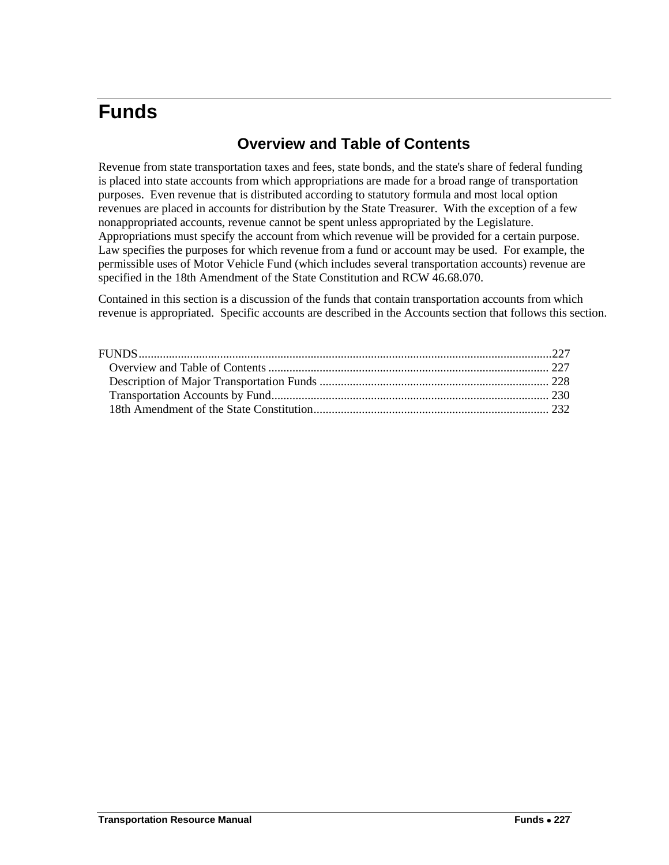# <span id="page-0-1"></span><span id="page-0-0"></span>**Funds**

## **Overview and Table of Contents**

Revenue from state transportation taxes and fees, state bonds, and the state's share of federal funding is placed into state accounts from which appropriations are made for a broad range of transportation purposes. Even revenue that is distributed according to statutory formula and most local option revenues are placed in accounts for distribution by the State Treasurer. With the exception of a few nonappropriated accounts, revenue cannot be spent unless appropriated by the Legislature. Appropriations must specify the account from which revenue will be provided for a certain purpose. Law specifies the purposes for which revenue from a fund or account may be used. For example, the permissible uses of Motor Vehicle Fund (which includes several transportation accounts) revenue are specified in the 18th Amendment of the State Constitution and RCW 46.68.070.

Contained in this section is a discussion of the funds that contain transportation accounts from which revenue is appropriated. Specific accounts are described in the Accounts section that follows this section.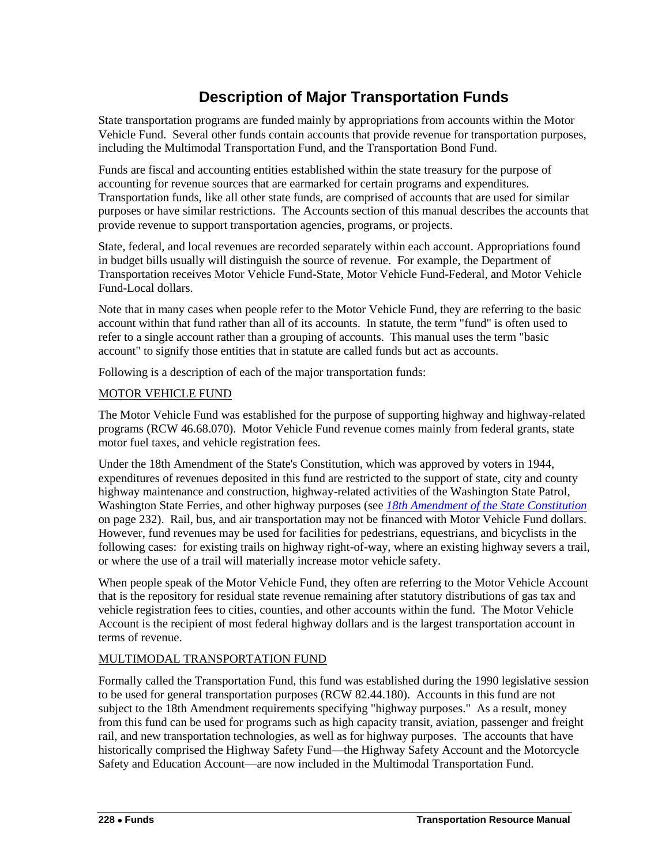# **Description of Major Transportation Funds**

<span id="page-1-0"></span>State transportation programs are funded mainly by appropriations from accounts within the Motor Vehicle Fund. Several other funds contain accounts that provide revenue for transportation purposes, including the Multimodal Transportation Fund, and the Transportation Bond Fund.

Funds are fiscal and accounting entities established within the state treasury for the purpose of accounting for revenue sources that are earmarked for certain programs and expenditures. Transportation funds, like all other state funds, are comprised of accounts that are used for similar purposes or have similar restrictions. The Accounts section of this manual describes the accounts that provide revenue to support transportation agencies, programs, or projects.

State, federal, and local revenues are recorded separately within each account. Appropriations found in budget bills usually will distinguish the source of revenue. For example, the Department of Transportation receives Motor Vehicle Fund-State, Motor Vehicle Fund-Federal, and Motor Vehicle Fund-Local dollars.

Note that in many cases when people refer to the Motor Vehicle Fund, they are referring to the basic account within that fund rather than all of its accounts. In statute, the term "fund" is often used to refer to a single account rather than a grouping of accounts. This manual uses the term "basic account" to signify those entities that in statute are called funds but act as accounts.

Following is a description of each of the major transportation funds:

### MOTOR VEHICLE FUND

The Motor Vehicle Fund was established for the purpose of supporting highway and highway-related programs (RCW 46.68.070). Motor Vehicle Fund revenue comes mainly from federal grants, state motor fuel taxes, and vehicle registration fees.

Under the 18th Amendment of the State's Constitution, which was approved by voters in 1944, expenditures of revenues deposited in this fund are restricted to the support of state, city and county highway maintenance and construction, highway-related activities of the Washington State Patrol, Washington State Ferries, and other highway purposes (see *[18th Amendment of the State Constitution](#page-5-0)* on page 232). Rail, bus, and air transportation may not be financed with Motor Vehicle Fund dollars. However, fund revenues may be used for facilities for pedestrians, equestrians, and bicyclists in the following cases: for existing trails on highway right-of-way, where an existing highway severs a trail, or where the use of a trail will materially increase motor vehicle safety.

When people speak of the Motor Vehicle Fund, they often are referring to the Motor Vehicle Account that is the repository for residual state revenue remaining after statutory distributions of gas tax and vehicle registration fees to cities, counties, and other accounts within the fund. The Motor Vehicle Account is the recipient of most federal highway dollars and is the largest transportation account in terms of revenue.

### MULTIMODAL TRANSPORTATION FUND

Formally called the Transportation Fund, this fund was established during the 1990 legislative session to be used for general transportation purposes (RCW 82.44.180). Accounts in this fund are not subject to the 18th Amendment requirements specifying "highway purposes." As a result, money from this fund can be used for programs such as high capacity transit, aviation, passenger and freight rail, and new transportation technologies, as well as for highway purposes. The accounts that have historically comprised the Highway Safety Fund—the Highway Safety Account and the Motorcycle Safety and Education Account—are now included in the Multimodal Transportation Fund.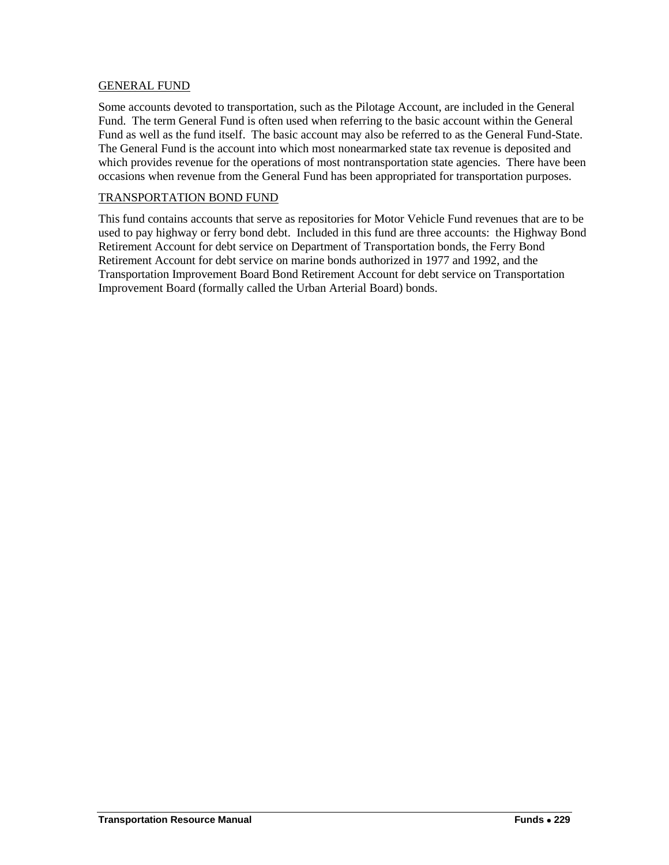### GENERAL FUND

Some accounts devoted to transportation, such as the Pilotage Account, are included in the General Fund. The term General Fund is often used when referring to the basic account within the General Fund as well as the fund itself. The basic account may also be referred to as the General Fund-State. The General Fund is the account into which most nonearmarked state tax revenue is deposited and which provides revenue for the operations of most nontransportation state agencies. There have been occasions when revenue from the General Fund has been appropriated for transportation purposes.

#### TRANSPORTATION BOND FUND

This fund contains accounts that serve as repositories for Motor Vehicle Fund revenues that are to be used to pay highway or ferry bond debt. Included in this fund are three accounts: the Highway Bond Retirement Account for debt service on Department of Transportation bonds, the Ferry Bond Retirement Account for debt service on marine bonds authorized in 1977 and 1992, and the Transportation Improvement Board Bond Retirement Account for debt service on Transportation Improvement Board (formally called the Urban Arterial Board) bonds.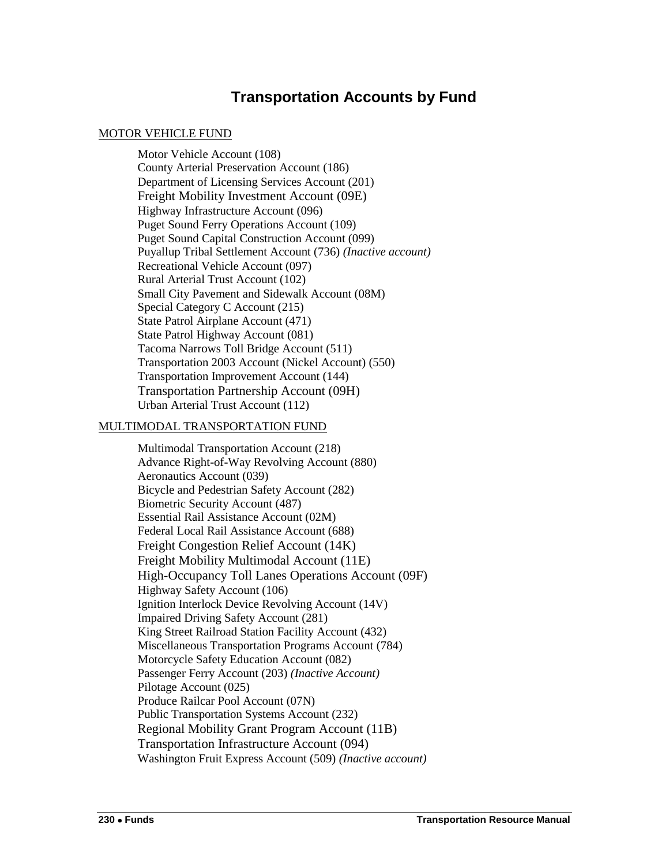### **Transportation Accounts by Fund**

### <span id="page-3-0"></span>MOTOR VEHICLE FUND

Motor Vehicle Account (108) County Arterial Preservation Account (186) Department of Licensing Services Account (201) Freight Mobility Investment Account (09E) Highway Infrastructure Account (096) Puget Sound Ferry Operations Account (109) Puget Sound Capital Construction Account (099) Puyallup Tribal Settlement Account (736) *(Inactive account)* Recreational Vehicle Account (097) Rural Arterial Trust Account (102) Small City Pavement and Sidewalk Account (08M) Special Category C Account (215) State Patrol Airplane Account (471) State Patrol Highway Account (081) Tacoma Narrows Toll Bridge Account (511) Transportation 2003 Account (Nickel Account) (550) Transportation Improvement Account (144) Transportation Partnership Account (09H) Urban Arterial Trust Account (112)

### MULTIMODAL TRANSPORTATION FUND

Multimodal Transportation Account (218) Advance Right-of-Way Revolving Account (880) Aeronautics Account (039) Bicycle and Pedestrian Safety Account (282) Biometric Security Account (487) Essential Rail Assistance Account (02M) Federal Local Rail Assistance Account (688) Freight Congestion Relief Account (14K) Freight Mobility Multimodal Account (11E) High-Occupancy Toll Lanes Operations Account (09F) Highway Safety Account (106) Ignition Interlock Device Revolving Account (14V) Impaired Driving Safety Account (281) King Street Railroad Station Facility Account (432) Miscellaneous Transportation Programs Account (784) Motorcycle Safety Education Account (082) Passenger Ferry Account (203) *(Inactive Account)* Pilotage Account (025) Produce Railcar Pool Account (07N) Public Transportation Systems Account (232) Regional Mobility Grant Program Account (11B) Transportation Infrastructure Account (094) Washington Fruit Express Account (509) *(Inactive account)*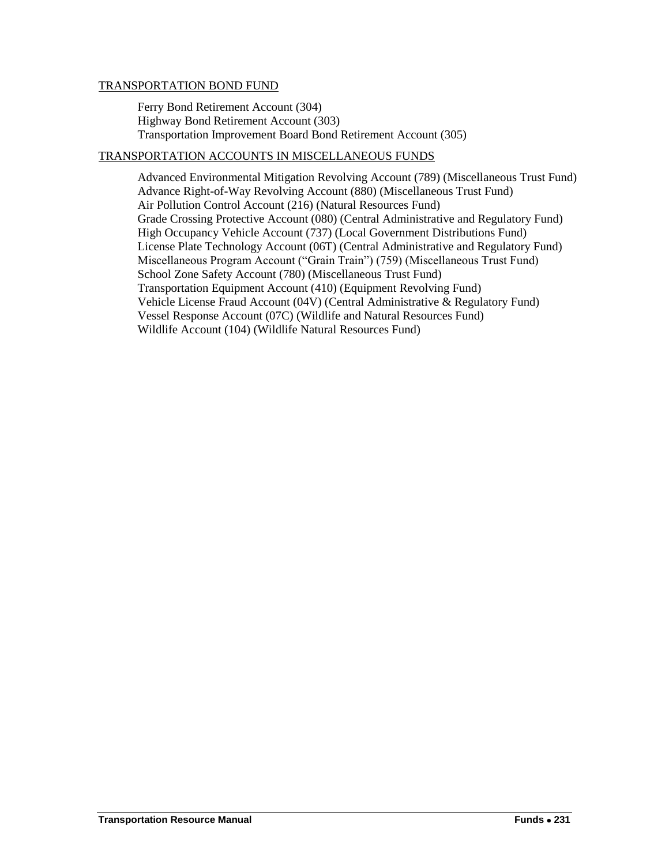### TRANSPORTATION BOND FUND

Ferry Bond Retirement Account (304) Highway Bond Retirement Account (303) Transportation Improvement Board Bond Retirement Account (305)

### TRANSPORTATION ACCOUNTS IN MISCELLANEOUS FUNDS

Advanced Environmental Mitigation Revolving Account (789) (Miscellaneous Trust Fund) Advance Right-of-Way Revolving Account (880) (Miscellaneous Trust Fund) Air Pollution Control Account (216) (Natural Resources Fund) Grade Crossing Protective Account (080) (Central Administrative and Regulatory Fund) High Occupancy Vehicle Account (737) (Local Government Distributions Fund) License Plate Technology Account (06T) (Central Administrative and Regulatory Fund) Miscellaneous Program Account ("Grain Train") (759) (Miscellaneous Trust Fund) School Zone Safety Account (780) (Miscellaneous Trust Fund) Transportation Equipment Account (410) (Equipment Revolving Fund) Vehicle License Fraud Account (04V) (Central Administrative & Regulatory Fund) Vessel Response Account (07C) (Wildlife and Natural Resources Fund) Wildlife Account (104) (Wildlife Natural Resources Fund)